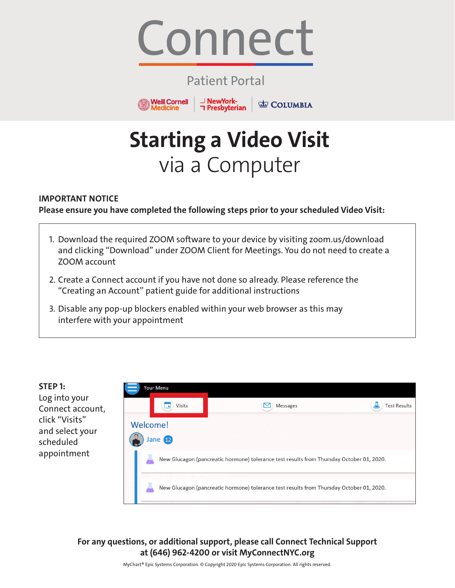

### Patient Portal

→ NewYork-<br>
コ Presbyterian

**ED** COLUMBIA

**Weill Cornell** 

*Aedicine* 

# **Starting a Video Visit** via a Computer

### **IMPORTANT NOTICE**

**Please ensure you have completed the following steps prior to your scheduled Video Visit:**

- 1. Download the required ZOOM software to your device by visiting zoom.us/download and clicking "Download" under ZOOM Client for Meetings. You do not need to create a ZOOM account
- 2. Create a Connect account if you have not done so already. Please reference the "Creating an Account" patient guide for additional instructions
- 3. Disable any pop-up blockers enabled within your web browser as this may interfere with your appointment



**For any questions, or additional support, please call Connect Technical Support at (646) 962-4200 or visit MyConnectNYC.org**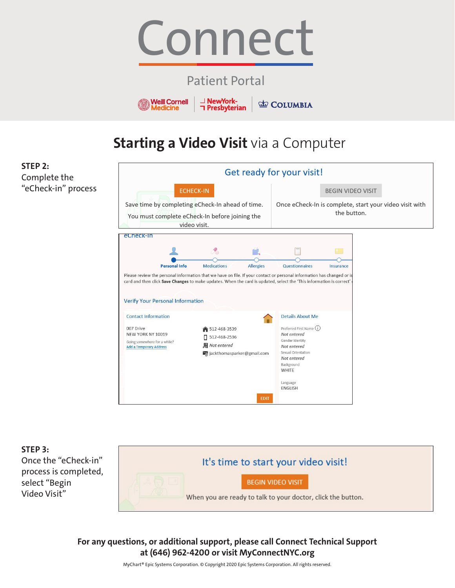

### Patient Portal

**NewYork-Weill Cornell T** Presbyterian **Medicine** 

**COLUMBIA** 

## **Starting a Video Visit** via a Computer

**STEP 2:** Complete the "eCheck-in" process





**For any questions, or additional support, please call Connect Technical Support at (646) 962-4200 or visit MyConnectNYC.org**